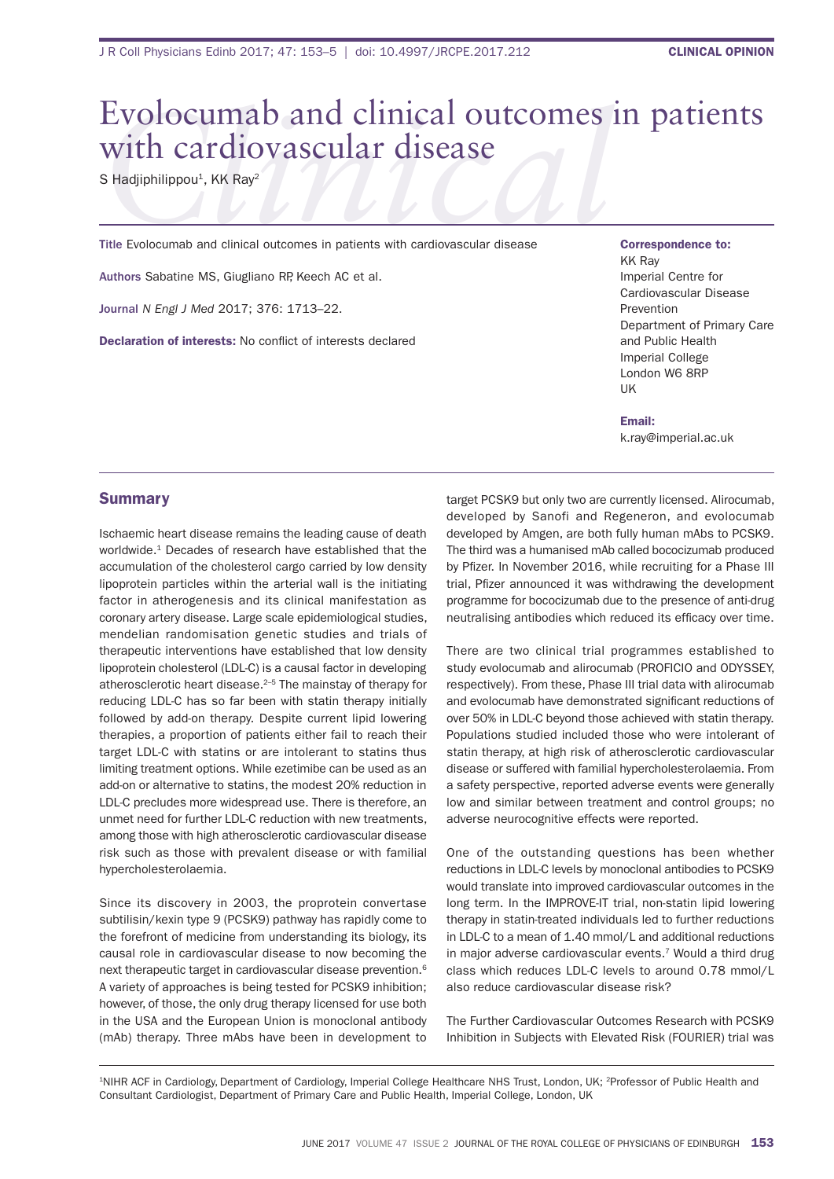## Evolocumab and clinical outcomes in patients with cardiovascular disease

S Hadjiphilippou<sup>1</sup>, KK Ray<sup>2</sup>

Title Evolocumab and clinical outcomes in patients with cardiovascular disease

Authors Sabatine MS, Giugliano RP, Keech AC et al.

Journal *N Engl J Med* 2017; 376: 1713–22.

Declaration of interests: No conflict of interests declared

Correspondence to: **KK Rav** imperial Centre for Cardiovascular Disease Prevention Department of Primary Care and Public Health imperial College London W6 8RP UK

Email: k.ray@imperial.ac.uk

## **Summary**

ischaemic heart disease remains the leading cause of death worldwide.<sup>1</sup> Decades of research have established that the accumulation of the cholesterol cargo carried by low density lipoprotein particles within the arterial wall is the initiating factor in atherogenesis and its clinical manifestation as coronary artery disease. large scale epidemiological studies, mendelian randomisation genetic studies and trials of therapeutic interventions have established that low density lipoprotein cholesterol (LDL-C) is a causal factor in developing atherosclerotic heart disease.2–5 the mainstay of therapy for reducing LDL-C has so far been with statin therapy initially followed by add-on therapy. Despite current lipid lowering therapies, a proportion of patients either fail to reach their target LDL-C with statins or are intolerant to statins thus limiting treatment options. While ezetimibe can be used as an add-on or alternative to statins, the modest 20% reduction in LDL-C precludes more widespread use. There is therefore, an unmet need for further LDL-C reduction with new treatments, among those with high atherosclerotic cardiovascular disease risk such as those with prevalent disease or with familial hypercholesterolaemia.

since its discovery in 2003, the proprotein convertase subtilisin/kexin type 9 (PCsK9) pathway has rapidly come to the forefront of medicine from understanding its biology, its causal role in cardiovascular disease to now becoming the next therapeutic target in cardiovascular disease prevention.6 a variety of approaches is being tested for PCsK9 inhibition; however, of those, the only drug therapy licensed for use both in the USA and the European Union is monoclonal antibody (mAb) therapy. Three mAbs have been in development to

target PCsK9 but only two are currently licensed. alirocumab, developed by Sanofi and Regeneron, and evolocumab developed by Amgen, are both fully human mAbs to PCSK9. The third was a humanised mAb called bococizumab produced by Pfizer. In November 2016, while recruiting for a Phase III trial, Pfizer announced it was withdrawing the development programme for bococizumab due to the presence of anti-drug neutralising antibodies which reduced its efficacy over time.

There are two clinical trial programmes established to study evolocumab and alirocumab (PROFICIO and ODYSSEY, respectively). From these, Phase III trial data with alirocumab and evolocumab have demonstrated significant reductions of over 50% in LDL-C beyond those achieved with statin therapy. Populations studied included those who were intolerant of statin therapy, at high risk of atherosclerotic cardiovascular disease or suffered with familial hypercholesterolaemia. from a safety perspective, reported adverse events were generally low and similar between treatment and control groups; no adverse neurocognitive effects were reported.

One of the outstanding questions has been whether reductions in LDL-C levels by monoclonal antibodies to PCSK9 would translate into improved cardiovascular outcomes in the long term. In the IMPROVE-IT trial, non-statin lipid lowering therapy in statin-treated individuals led to further reductions in LDL-C to a mean of 1.40 mmol/L and additional reductions in major adverse cardiovascular events.<sup>7</sup> Would a third drug class which reduces LDL-C levels to around 0.78 mmol/L also reduce cardiovascular disease risk?

The Further Cardiovascular Outcomes Research with PCSK9 Inhibition in Subjects with Elevated Risk (FOURIER) trial was

1NIHR ACF in Cardiology, Department of Cardiology, Imperial College Healthcare NHS Trust, London, UK; <sup>2</sup>Professor of Public Health and Consultant Cardiologist, department of Primary Care and Public health, imperial College, london, UK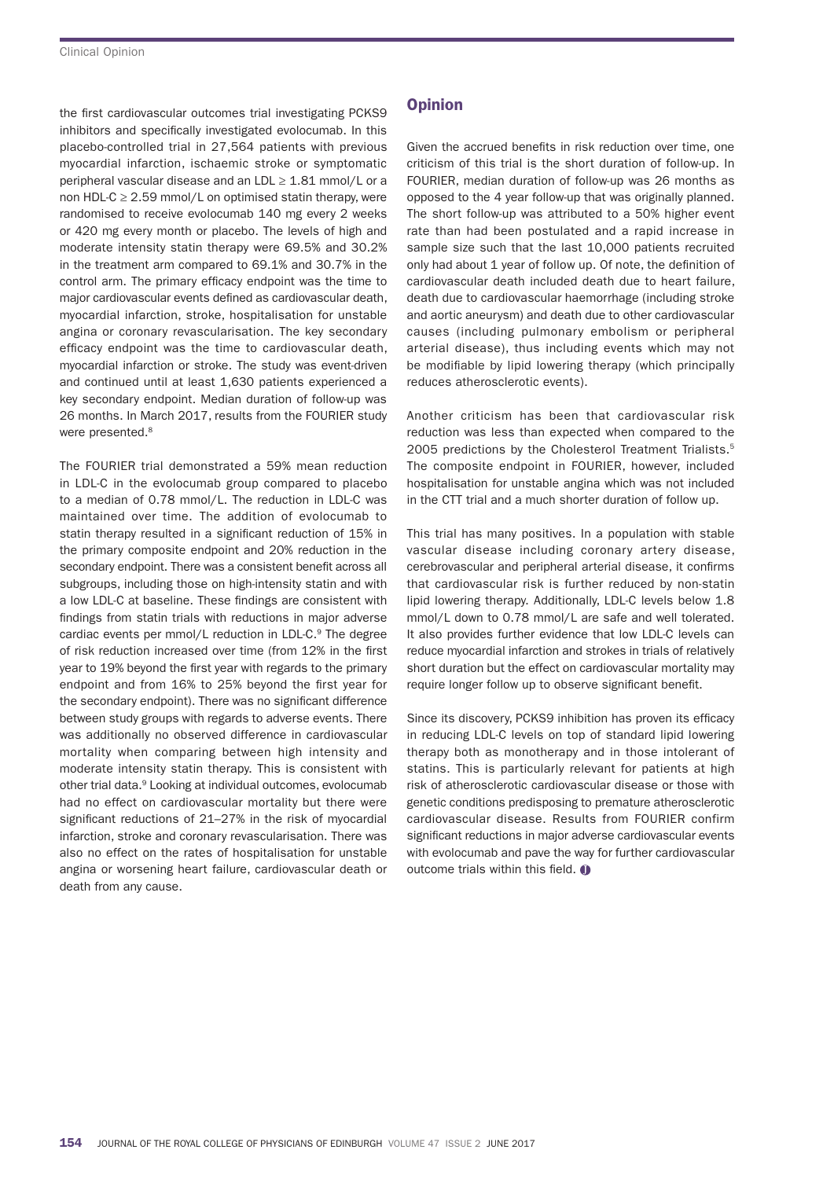the first cardiovascular outcomes trial investigating PCKS9 inhibitors and specifically investigated evolocumab. In this placebo-controlled trial in 27,564 patients with previous myocardial infarction, ischaemic stroke or symptomatic peripheral vascular disease and an LDL  $\geq$  1.81 mmol/L or a non HDL-C  $\geq$  2.59 mmol/L on optimised statin therapy, were randomised to receive evolocumab 140 mg every 2 weeks or 420 mg every month or placebo. The levels of high and moderate intensity statin therapy were 69.5% and 30.2% in the treatment arm compared to 69.1% and 30.7% in the control arm. The primary efficacy endpoint was the time to major cardiovascular events defined as cardiovascular death, myocardial infarction, stroke, hospitalisation for unstable angina or coronary revascularisation. The key secondary efficacy endpoint was the time to cardiovascular death, myocardial infarction or stroke. The study was event-driven and continued until at least 1,630 patients experienced a key secondary endpoint. median duration of follow-up was 26 months. In March 2017, results from the FOURIER study were presented.<sup>8</sup>

The FOURIER trial demonstrated a 59% mean reduction in LDL-C in the evolocumab group compared to placebo to a median of 0.78 mmol/L. The reduction in LDL-C was maintained over time. The addition of evolocumab to statin therapy resulted in a significant reduction of 15% in the primary composite endpoint and 20% reduction in the secondary endpoint. There was a consistent benefit across all subgroups, including those on high-intensity statin and with a low LDL-C at baseline. These findings are consistent with findings from statin trials with reductions in major adverse cardiac events per mmol/L reduction in LDL-C.<sup>9</sup> The degree of risk reduction increased over time (from 12% in the first year to 19% beyond the first year with regards to the primary endpoint and from 16% to 25% beyond the first year for the secondary endpoint). There was no significant difference between study groups with regards to adverse events. There was additionally no observed difference in cardiovascular mortality when comparing between high intensity and moderate intensity statin therapy. This is consistent with other trial data.<sup>9</sup> Looking at individual outcomes, evolocumab had no effect on cardiovascular mortality but there were significant reductions of 21-27% in the risk of myocardial infarction, stroke and coronary revascularisation. There was also no effect on the rates of hospitalisation for unstable angina or worsening heart failure, cardiovascular death or death from any cause.

## **Opinion**

Given the accrued benefits in risk reduction over time, one criticism of this trial is the short duration of follow-up. in FOURIER, median duration of follow-up was 26 months as opposed to the 4 year follow-up that was originally planned. The short follow-up was attributed to a 50% higher event rate than had been postulated and a rapid increase in sample size such that the last 10,000 patients recruited only had about 1 year of follow up. Of note, the definition of cardiovascular death included death due to heart failure, death due to cardiovascular haemorrhage (including stroke and aortic aneurysm) and death due to other cardiovascular causes (including pulmonary embolism or peripheral arterial disease), thus including events which may not be modifiable by lipid lowering therapy (which principally reduces atherosclerotic events).

another criticism has been that cardiovascular risk reduction was less than expected when compared to the 2005 predictions by the Cholesterol Treatment Trialists.<sup>5</sup> The composite endpoint in FOURIER, however, included hospitalisation for unstable angina which was not included in the CTT trial and a much shorter duration of follow up.

This trial has many positives. In a population with stable vascular disease including coronary artery disease, cerebrovascular and peripheral arterial disease, it confirms that cardiovascular risk is further reduced by non-statin lipid lowering therapy. Additionally, LDL-C levels below 1.8 mmol/L down to 0.78 mmol/L are safe and well tolerated. It also provides further evidence that low LDL-C levels can reduce myocardial infarction and strokes in trials of relatively short duration but the effect on cardiovascular mortality may require longer follow up to observe significant benefit.

Since its discovery, PCKS9 inhibition has proven its efficacy in reducing LDL-C levels on top of standard lipid lowering therapy both as monotherapy and in those intolerant of statins. This is particularly relevant for patients at high risk of atherosclerotic cardiovascular disease or those with genetic conditions predisposing to premature atherosclerotic cardiovascular disease. Results from FOURIER confirm significant reductions in major adverse cardiovascular events with evolocumab and pave the way for further cardiovascular outcome trials within this field.  $\bullet$